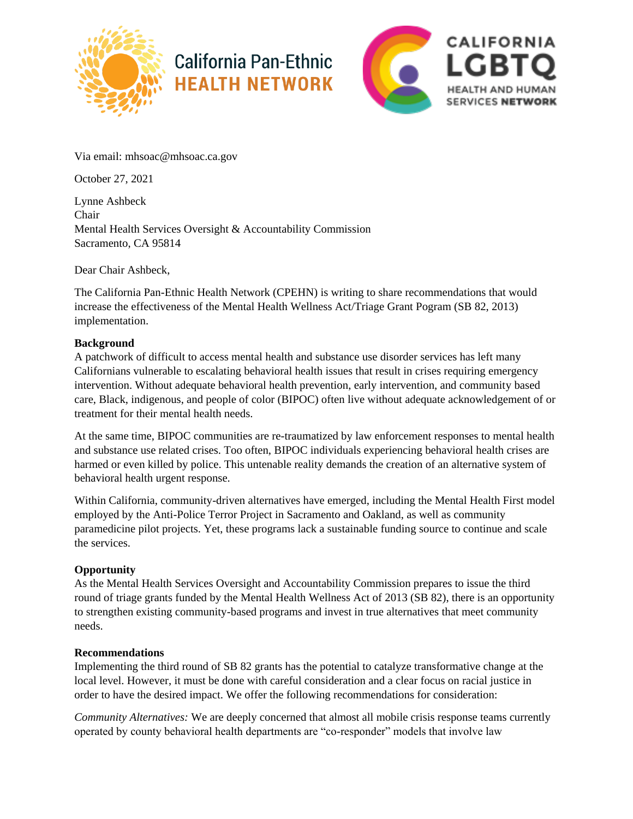

## **California Pan-Ethnic HEALTH NETWORK**



Via email: mhsoac@mhsoac.ca.gov

October 27, 2021

Lynne Ashbeck Chair Mental Health Services Oversight & Accountability Commission Sacramento, CA 95814

Dear Chair Ashbeck,

The California Pan-Ethnic Health Network (CPEHN) is writing to share recommendations that would increase the effectiveness of the Mental Health Wellness Act/Triage Grant Pogram (SB 82, 2013) implementation.

## **Background**

A patchwork of difficult to access mental health and substance use disorder services has left many Californians vulnerable to escalating behavioral health issues that result in crises requiring emergency intervention. Without adequate behavioral health prevention, early intervention, and community based care, Black, indigenous, and people of color (BIPOC) often live without adequate acknowledgement of or treatment for their mental health needs.

At the same time, BIPOC communities are re-traumatized by law enforcement responses to mental health and substance use related crises. Too often, BIPOC individuals experiencing behavioral health crises are harmed or even killed by police. This untenable reality demands the creation of an alternative system of behavioral health urgent response.

Within California, community-driven alternatives have emerged, including the Mental Health First model employed by the Anti-Police Terror Project in Sacramento and Oakland, as well as community paramedicine pilot projects. Yet, these programs lack a sustainable funding source to continue and scale the services.

## **Opportunity**

As the Mental Health Services Oversight and Accountability Commission prepares to issue the third round of triage grants funded by the Mental Health Wellness Act of 2013 (SB 82), there is an opportunity to strengthen existing community-based programs and invest in true alternatives that meet community needs.

## **Recommendations**

Implementing the third round of SB 82 grants has the potential to catalyze transformative change at the local level. However, it must be done with careful consideration and a clear focus on racial justice in order to have the desired impact. We offer the following recommendations for consideration:

*Community Alternatives:* We are deeply concerned that almost all mobile crisis response teams currently operated by county behavioral health departments are "co-responder" models that involve law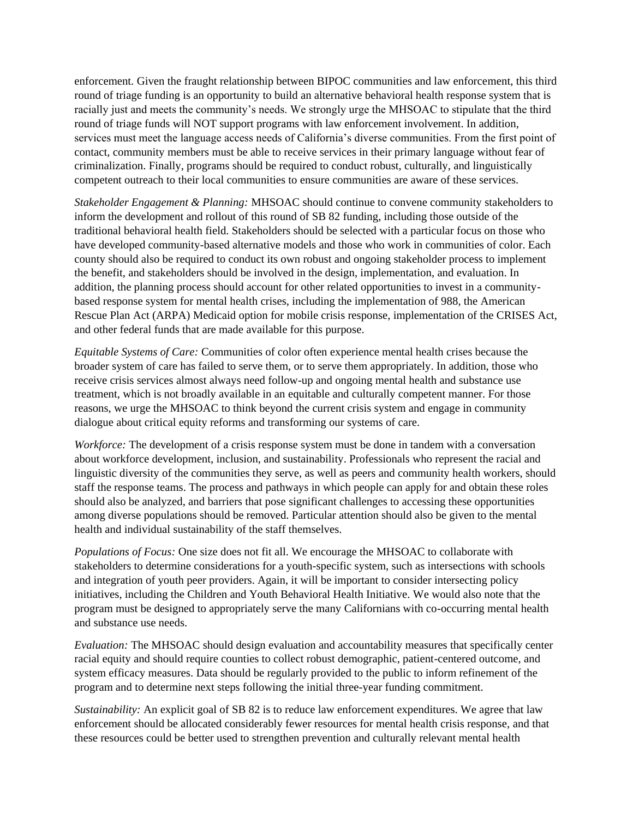enforcement. Given the fraught relationship between BIPOC communities and law enforcement, this third round of triage funding is an opportunity to build an alternative behavioral health response system that is racially just and meets the community's needs. We strongly urge the MHSOAC to stipulate that the third round of triage funds will NOT support programs with law enforcement involvement. In addition, services must meet the language access needs of California's diverse communities. From the first point of contact, community members must be able to receive services in their primary language without fear of criminalization. Finally, programs should be required to conduct robust, culturally, and linguistically competent outreach to their local communities to ensure communities are aware of these services.

*Stakeholder Engagement & Planning:* MHSOAC should continue to convene community stakeholders to inform the development and rollout of this round of SB 82 funding, including those outside of the traditional behavioral health field. Stakeholders should be selected with a particular focus on those who have developed community-based alternative models and those who work in communities of color. Each county should also be required to conduct its own robust and ongoing stakeholder process to implement the benefit, and stakeholders should be involved in the design, implementation, and evaluation. In addition, the planning process should account for other related opportunities to invest in a communitybased response system for mental health crises, including the implementation of 988, the American Rescue Plan Act (ARPA) Medicaid option for mobile crisis response, implementation of the CRISES Act, and other federal funds that are made available for this purpose.

*Equitable Systems of Care:* Communities of color often experience mental health crises because the broader system of care has failed to serve them, or to serve them appropriately. In addition, those who receive crisis services almost always need follow-up and ongoing mental health and substance use treatment, which is not broadly available in an equitable and culturally competent manner. For those reasons, we urge the MHSOAC to think beyond the current crisis system and engage in community dialogue about critical equity reforms and transforming our systems of care.

*Workforce:* The development of a crisis response system must be done in tandem with a conversation about workforce development, inclusion, and sustainability. Professionals who represent the racial and linguistic diversity of the communities they serve, as well as peers and community health workers, should staff the response teams. The process and pathways in which people can apply for and obtain these roles should also be analyzed, and barriers that pose significant challenges to accessing these opportunities among diverse populations should be removed. Particular attention should also be given to the mental health and individual sustainability of the staff themselves.

*Populations of Focus:* One size does not fit all. We encourage the MHSOAC to collaborate with stakeholders to determine considerations for a youth-specific system, such as intersections with schools and integration of youth peer providers. Again, it will be important to consider intersecting policy initiatives, including the Children and Youth Behavioral Health Initiative. We would also note that the program must be designed to appropriately serve the many Californians with co-occurring mental health and substance use needs.

*Evaluation:* The MHSOAC should design evaluation and accountability measures that specifically center racial equity and should require counties to collect robust demographic, patient-centered outcome, and system efficacy measures. Data should be regularly provided to the public to inform refinement of the program and to determine next steps following the initial three-year funding commitment.

*Sustainability:* An explicit goal of SB 82 is to reduce law enforcement expenditures. We agree that law enforcement should be allocated considerably fewer resources for mental health crisis response, and that these resources could be better used to strengthen prevention and culturally relevant mental health